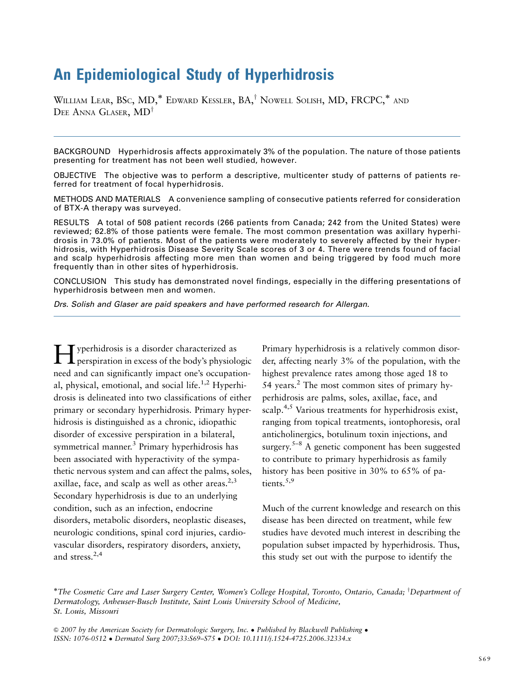# An Epidemiological Study of Hyperhidrosis

WILLIAM LEAR, BSC, MD,\* EDWARD KESSLER, BA,<sup>†</sup> NOWELL SOLISH, MD, FRCPC,\* AND DEE ANNA GLASER,  $MD^{\dagger}$ 

BACKGROUND Hyperhidrosis affects approximately 3% of the population. The nature of those patients presenting for treatment has not been well studied, however.

OBJECTIVE The objective was to perform a descriptive, multicenter study of patterns of patients referred for treatment of focal hyperhidrosis.

METHODS AND MATERIALS A convenience sampling of consecutive patients referred for consideration of BTX-A therapy was surveyed.

RESULTS A total of 508 patient records (266 patients from Canada; 242 from the United States) were reviewed; 62.8% of those patients were female. The most common presentation was axillary hyperhidrosis in 73.0% of patients. Most of the patients were moderately to severely affected by their hyperhidrosis, with Hyperhidrosis Disease Severity Scale scores of 3 or 4. There were trends found of facial and scalp hyperhidrosis affecting more men than women and being triggered by food much more frequently than in other sites of hyperhidrosis.

CONCLUSION This study has demonstrated novel findings, especially in the differing presentations of hyperhidrosis between men and women.

*Drs. Solish and Glaser are paid speakers and have performed research for Allergan.*

Hyperhidrosis is a disorder characterized as perspiration in excess of the body's physiologic need and can significantly impact one's occupational, physical, emotional, and social life.<sup>1,2</sup> Hyperhidrosis is delineated into two classifications of either primary or secondary hyperhidrosis. Primary hyperhidrosis is distinguished as a chronic, idiopathic disorder of excessive perspiration in a bilateral, symmetrical manner.3 Primary hyperhidrosis has been associated with hyperactivity of the sympathetic nervous system and can affect the palms, soles, axillae, face, and scalp as well as other areas. $2,3$ Secondary hyperhidrosis is due to an underlying condition, such as an infection, endocrine disorders, metabolic disorders, neoplastic diseases, neurologic conditions, spinal cord injuries, cardiovascular disorders, respiratory disorders, anxiety, and stress.2,4

Primary hyperhidrosis is a relatively common disorder, affecting nearly 3% of the population, with the highest prevalence rates among those aged 18 to 54 years. $^{2}$  The most common sites of primary hyperhidrosis are palms, soles, axillae, face, and scalp.<sup>4,5</sup> Various treatments for hyperhidrosis exist, ranging from topical treatments, iontophoresis, oral anticholinergics, botulinum toxin injections, and surgery.<sup>5–8</sup> A genetic component has been suggested to contribute to primary hyperhidrosis as family history has been positive in 30% to 65% of patients.<sup>5,9</sup>

Much of the current knowledge and research on this disease has been directed on treatment, while few studies have devoted much interest in describing the population subset impacted by hyperhidrosis. Thus, this study set out with the purpose to identify the

<sup>\*</sup>The Cosmetic Care and Laser Surgery Center, Women's College Hospital, Toronto, Ontario, Canada; <sup>†</sup>Department of Dermatology, Anheuser-Busch Institute, Saint Louis University School of Medicine, St. Louis, Missouri

 $\odot$  2007 by the American Society for Dermatologic Surgery, Inc. • Published by Blackwell Publishing • ISSN: 1076-0512 Dermatol Surg 2007;33:S69–S75 DOI: 10.1111/j.1524-4725.2006.32334.x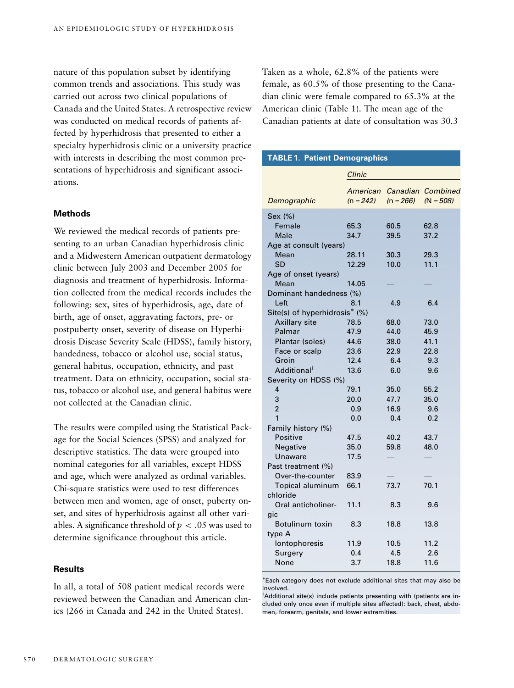nature of this population subset by identifying common trends and associations. This study was carried out across two clinical populations of Canada and the United States. A retrospective review was conducted on medical records of patients affected by hyperhidrosis that presented to either a specialty hyperhidrosis clinic or a university practice with interests in describing the most common presentations of hyperhidrosis and significant associations.

## **Methods**

We reviewed the medical records of patients presenting to an urban Canadian hyperhidrosis clinic and a Midwestern American outpatient dermatology clinic between July 2003 and December 2005 for diagnosis and treatment of hyperhidrosis. Information collected from the medical records includes the following: sex, sites of hyperhidrosis, age, date of birth, age of onset, aggravating factors, pre- or postpuberty onset, severity of disease on Hyperhidrosis Disease Severity Scale (HDSS), family history, handedness, tobacco or alcohol use, social status, general habitus, occupation, ethnicity, and past treatment. Data on ethnicity, occupation, social status, tobacco or alcohol use, and general habitus were not collected at the Canadian clinic.

The results were compiled using the Statistical Package for the Social Sciences (SPSS) and analyzed for descriptive statistics. The data were grouped into nominal categories for all variables, except HDSS and age, which were analyzed as ordinal variables. Chi-square statistics were used to test differences between men and women, age of onset, puberty onset, and sites of hyperhidrosis against all other variables. A significance threshold of  $p < .05$  was used to determine significance throughout this article.

## **Results**

In all, a total of 508 patient medical records were reviewed between the Canadian and American clinics (266 in Canada and 242 in the United States).

Taken as a whole, 62.8% of the patients were female, as 60.5% of those presenting to the Canadian clinic were female compared to 65.3% at the American clinic (Table 1). The mean age of the Canadian patients at date of consultation was 30.3

| <b>TABLE 1. Patient Demographics</b> |                         |             |                                  |  |
|--------------------------------------|-------------------------|-------------|----------------------------------|--|
|                                      | Clinic                  |             |                                  |  |
| Demographic                          | American<br>$(n = 242)$ | $(n = 266)$ | Canadian Combined<br>$(N = 508)$ |  |
| Sex (%)                              |                         |             |                                  |  |
| Female                               | 65.3                    | 60.5        | 62.8                             |  |
| Male                                 | 34.7                    | 39.5        | 37.2                             |  |
| Age at consult (years)               |                         |             |                                  |  |
| Mean                                 | 28.11                   | 30.3        | 29.3                             |  |
| SD                                   | 12.29                   | 10.0        | 11.1                             |  |
| Age of onset (years)                 |                         |             |                                  |  |
| Mean                                 | 14.05                   |             |                                  |  |
| Dominant handedness (%)              |                         |             |                                  |  |
| Left                                 | 8.1                     | 4.9         | 6.4                              |  |
| Site(s) of hyperhidrosis* (%)        |                         |             |                                  |  |
| <b>Axillary site</b>                 | 78.5                    | 68.0        | 73.0                             |  |
| Palmar                               | 47.9                    | 44.0        | 45.9                             |  |
| Plantar (soles)                      | 44.6                    | 38.0        | 41.1                             |  |
| Face or scalp                        | 23.6                    | 22.9        | 22.8                             |  |
| Groin                                | 12.4                    | 6.4         | 9.3                              |  |
| Additional <sup>†</sup>              | 13.6                    | 6.0         | 9.6                              |  |
| Severity on HDSS (%)                 |                         |             |                                  |  |
| 4                                    | 79.1                    | 35.0        | 55.2                             |  |
| 3                                    | 20.0                    | 47.7        | 35.0                             |  |
| $\overline{2}$                       | 0.9                     | 16.9        | 9.6                              |  |
| 1                                    | 0.0                     | 0.4         | 0.2                              |  |
| Family history (%)                   |                         |             |                                  |  |
| Positive                             | 47.5                    | 40.2        | 43.7                             |  |
| Negative                             | 35.0                    | 59.8        | 48.0                             |  |
| Unaware                              | 17.5                    |             |                                  |  |
| Past treatment (%)                   |                         |             |                                  |  |
| Over-the-counter                     | 83.9                    |             |                                  |  |
| Topical aluminum                     | 66.1                    | 73.7        | 70.1                             |  |
| chloride                             |                         |             |                                  |  |
| Oral anticholiner-                   | 11.1                    | 8.3         | 9.6                              |  |
| gic                                  |                         |             |                                  |  |
| Botulinum toxin                      | 8.3                     | 18.8        | 13.8                             |  |
| type A                               |                         |             |                                  |  |
| lontophoresis                        | 11.9                    | 10.5        | 11.2                             |  |
| Surgery                              | 0.4                     | 4.5         | 2.6                              |  |
| None                                 | 3.7                     | 18.8        | 11.6                             |  |

Each category does not exclude additional sites that may also be involved.

<sup>†</sup>Additional site(s) include patients presenting with (patients are included only once even if multiple sites affected): back, chest, abdomen, forearm, genitals, and lower extremities.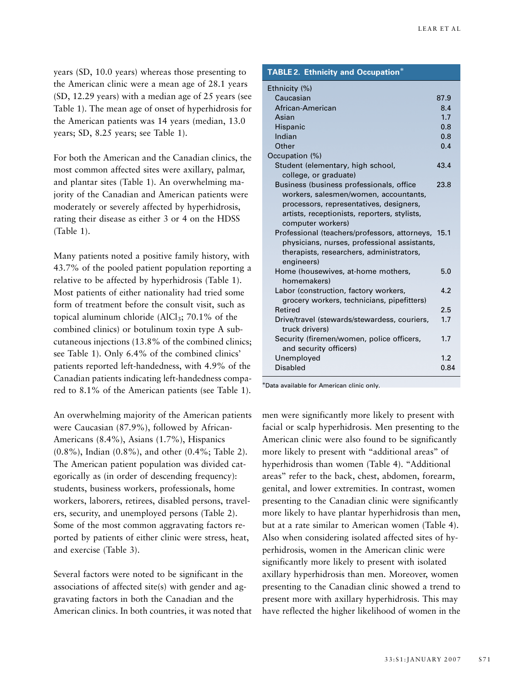years (SD, 10.0 years) whereas those presenting to the American clinic were a mean age of 28.1 years (SD, 12.29 years) with a median age of 25 years (see Table 1). The mean age of onset of hyperhidrosis for the American patients was 14 years (median, 13.0 years; SD, 8.25 years; see Table 1).

For both the American and the Canadian clinics, the most common affected sites were axillary, palmar, and plantar sites (Table 1). An overwhelming majority of the Canadian and American patients were moderately or severely affected by hyperhidrosis, rating their disease as either 3 or 4 on the HDSS (Table 1).

Many patients noted a positive family history, with 43.7% of the pooled patient population reporting a relative to be affected by hyperhidrosis (Table 1). Most patients of either nationality had tried some form of treatment before the consult visit, such as topical aluminum chloride ( $AICI_3$ ; 70.1% of the combined clinics) or botulinum toxin type A subcutaneous injections (13.8% of the combined clinics; see Table 1). Only 6.4% of the combined clinics' patients reported left-handedness, with 4.9% of the Canadian patients indicating left-handedness compared to 8.1% of the American patients (see Table 1).

An overwhelming majority of the American patients were Caucasian (87.9%), followed by African-Americans (8.4%), Asians (1.7%), Hispanics (0.8%), Indian (0.8%), and other (0.4%; Table 2). The American patient population was divided categorically as (in order of descending frequency): students, business workers, professionals, home workers, laborers, retirees, disabled persons, travelers, security, and unemployed persons (Table 2). Some of the most common aggravating factors reported by patients of either clinic were stress, heat, and exercise (Table 3).

Several factors were noted to be significant in the associations of affected site(s) with gender and aggravating factors in both the Canadian and the American clinics. In both countries, it was noted that

| <b>TABLE 2. Ethnicity and Occupation*</b>              |      |
|--------------------------------------------------------|------|
| Ethnicity (%)                                          |      |
| Caucasian                                              | 87.9 |
| African-American                                       | 8.4  |
| Asian                                                  | 1.7  |
| Hispanic                                               | 0.8  |
| Indian                                                 | 0.8  |
| Other                                                  | 0.4  |
| Occupation (%)                                         |      |
| Student (elementary, high school,                      | 43.4 |
| college, or graduate)                                  |      |
| Business (business professionals, office               | 23.8 |
| workers, salesmen/women, accountants,                  |      |
| processors, representatives, designers,                |      |
| artists, receptionists, reporters, stylists,           |      |
| computer workers)                                      |      |
| Professional (teachers/professors, attorneys, 15.1     |      |
| physicians, nurses, professional assistants,           |      |
| therapists, researchers, administrators,<br>engineers) |      |
| Home (housewives, at-home mothers,                     | 5.0  |
| homemakers)                                            |      |
| Labor (construction, factory workers,                  | 4.2  |
| grocery workers, technicians, pipefitters)             |      |
| Retired                                                | 2.5  |
| Drive/travel (stewards/stewardess, couriers,           | 1.7  |
| truck drivers)                                         |      |
| Security (firemen/women, police officers,              | 1.7  |
| and security officers)                                 |      |
| Unemployed                                             | 1.2  |
| <b>Disabled</b>                                        | 0.84 |
|                                                        |      |

Data available for American clinic only.

men were significantly more likely to present with facial or scalp hyperhidrosis. Men presenting to the American clinic were also found to be significantly more likely to present with ''additional areas'' of hyperhidrosis than women (Table 4). "Additional areas'' refer to the back, chest, abdomen, forearm, genital, and lower extremities. In contrast, women presenting to the Canadian clinic were significantly more likely to have plantar hyperhidrosis than men, but at a rate similar to American women (Table 4). Also when considering isolated affected sites of hyperhidrosis, women in the American clinic were significantly more likely to present with isolated axillary hyperhidrosis than men. Moreover, women presenting to the Canadian clinic showed a trend to present more with axillary hyperhidrosis. This may have reflected the higher likelihood of women in the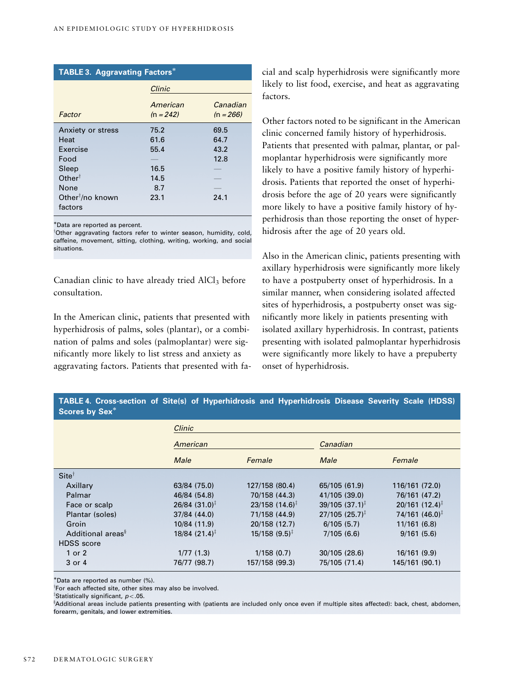| <b>TABLE 3. Aggravating Factors*</b>    |                         |                         |  |
|-----------------------------------------|-------------------------|-------------------------|--|
|                                         | Clinic                  |                         |  |
| Factor                                  | American<br>$(n = 242)$ | Canadian<br>$(n = 266)$ |  |
| Anxiety or stress                       | 75.2                    | 69.5                    |  |
| Heat                                    | 61.6                    | 64.7                    |  |
| Exercise                                | 55.4                    | 43.2                    |  |
| Food                                    |                         | 12.8                    |  |
| Sleep                                   | 16.5                    |                         |  |
| Other <sup><math>\dagger</math></sup>   | 14.5                    |                         |  |
| None                                    | 8.7                     |                         |  |
| Other <sup>†</sup> /no known<br>factors | 23.1                    | 24.1                    |  |

Data are reported as percent.

<sup>†</sup>Other aggravating factors refer to winter season, humidity, cold, caffeine, movement, sitting, clothing, writing, working, and social situations.

Canadian clinic to have already tried  $AICI<sub>3</sub>$  before consultation.

In the American clinic, patients that presented with hyperhidrosis of palms, soles (plantar), or a combination of palms and soles (palmoplantar) were significantly more likely to list stress and anxiety as aggravating factors. Patients that presented with facial and scalp hyperhidrosis were significantly more likely to list food, exercise, and heat as aggravating factors.

Other factors noted to be significant in the American clinic concerned family history of hyperhidrosis. Patients that presented with palmar, plantar, or palmoplantar hyperhidrosis were significantly more likely to have a positive family history of hyperhidrosis. Patients that reported the onset of hyperhidrosis before the age of 20 years were significantly more likely to have a positive family history of hyperhidrosis than those reporting the onset of hyperhidrosis after the age of 20 years old.

Also in the American clinic, patients presenting with axillary hyperhidrosis were significantly more likely to have a postpuberty onset of hyperhidrosis. In a similar manner, when considering isolated affected sites of hyperhidrosis, a postpuberty onset was significantly more likely in patients presenting with isolated axillary hyperhidrosis. In contrast, patients presenting with isolated palmoplantar hyperhidrosis were significantly more likely to have a prepuberty onset of hyperhidrosis.

# **TABLE 4. Cross-section of Site(s) of Hyperhidrosis and Hyperhidrosis Disease Severity Scale (HDSS) Scores by Sex**

|                               | Clinic                      |                              |                                 |                              |
|-------------------------------|-----------------------------|------------------------------|---------------------------------|------------------------------|
|                               | American                    |                              | Canadian                        |                              |
|                               | Male                        | Female                       | Male                            | Female                       |
| $Site^{\dagger}$              |                             |                              |                                 |                              |
| Axillary                      | 63/84 (75.0)                | 127/158 (80.4)               | 65/105 (61.9)                   | 116/161 (72.0)               |
| Palmar                        | 46/84 (54.8)                | 70/158 (44.3)                | 41/105 (39.0)                   | 76/161 (47.2)                |
| Face or scalp                 | $26/84$ (31.0) <sup>‡</sup> | $23/158$ (14.6) <sup>‡</sup> | $39/105$ $(37.1)^{\frac{1}{4}}$ | $20/161$ (12.4) <sup>‡</sup> |
| Plantar (soles)               | 37/84 (44.0)                | 71/158 (44.9)                | $27/105$ (25.7) <sup>‡</sup>    | $74/161$ (46.0) <sup>‡</sup> |
| Groin                         | 10/84 (11.9)                | 20/158 (12.7)                | 6/105(5.7)                      | 11/161(6.8)                  |
| Additional areas <sup>§</sup> | $18/84$ (21.4) <sup>‡</sup> | $15/158$ (9.5) <sup>‡</sup>  | 7/105(6.6)                      | 9/161(5.6)                   |
| <b>HDSS</b> score             |                             |                              |                                 |                              |
| 1 or 2                        | 1/77(1.3)                   | 1/158(0.7)                   | 30/105(28.6)                    | 16/161 (9.9)                 |
| 3 or 4                        | 76/77 (98.7)                | 157/158 (99.3)               | 75/105 (71.4)                   | 145/161 (90.1)               |

Data are reported as number (%).

<sup>†</sup>For each affected site, other sites may also be involved.

 $^{\ddagger}$ Statistically significant,  $p$ <.05.

<sup>s</sup>Additional areas include patients presenting with (patients are included only once even if multiple sites affected): back, chest, abdomen, forearm, genitals, and lower extremities.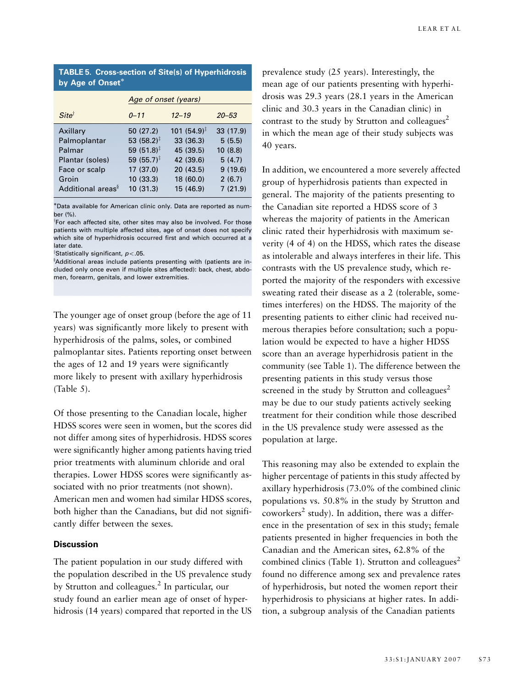## **TABLE 5. Cross-section of Site(s) of Hyperhidrosis by Age of Onset**

|                                                                                 | Age of onset (years)                                                                                            |                                                                                        |                                                               |  |
|---------------------------------------------------------------------------------|-----------------------------------------------------------------------------------------------------------------|----------------------------------------------------------------------------------------|---------------------------------------------------------------|--|
| $Site^{\dagger}$                                                                | $0 - 11$                                                                                                        | $12 - 19$                                                                              | $20 - 53$                                                     |  |
| Axillary<br>Palmoplantar<br>Palmar<br>Plantar (soles)<br>Face or scalp<br>Groin | 50 (27.2)<br>53 (58.2) <sup>‡</sup><br>59 $(51.8)^{\ddagger}$<br>59 $(55.7)^{\ddagger}$<br>17(37.0)<br>10(33.3) | $101(54.9)^{\ddagger}$<br>33 (36.3)<br>45 (39.5)<br>42 (39.6)<br>20(43.5)<br>18 (60.0) | 33 (17.9)<br>5(5.5)<br>10(8.8)<br>5(4.7)<br>9(19.6)<br>2(6.7) |  |
| Additional areas <sup>§</sup>                                                   | 10(31.3)                                                                                                        | 15 (46.9)                                                                              | 7(21.9)                                                       |  |

Data available for American clinic only. Data are reported as number (%).

<sup>†</sup>For each affected site, other sites may also be involved. For those patients with multiple affected sites, age of onset does not specify which site of hyperhidrosis occurred first and which occurred at a later date.

 $^{\ddagger}$ Statistically significant,  $p$ <.05.

 $^{\circ}$ Additional areas include patients presenting with (patients are included only once even if multiple sites affected): back, chest, abdomen, forearm, genitals, and lower extremities.

The younger age of onset group (before the age of 11 years) was significantly more likely to present with hyperhidrosis of the palms, soles, or combined palmoplantar sites. Patients reporting onset between the ages of 12 and 19 years were significantly more likely to present with axillary hyperhidrosis (Table 5).

Of those presenting to the Canadian locale, higher HDSS scores were seen in women, but the scores did not differ among sites of hyperhidrosis. HDSS scores were significantly higher among patients having tried prior treatments with aluminum chloride and oral therapies. Lower HDSS scores were significantly associated with no prior treatments (not shown). American men and women had similar HDSS scores, both higher than the Canadians, but did not significantly differ between the sexes.

## **Discussion**

The patient population in our study differed with the population described in the US prevalence study by Strutton and colleagues.<sup>2</sup> In particular, our study found an earlier mean age of onset of hyperhidrosis (14 years) compared that reported in the US prevalence study (25 years). Interestingly, the mean age of our patients presenting with hyperhidrosis was 29.3 years (28.1 years in the American clinic and 30.3 years in the Canadian clinic) in contrast to the study by Strutton and colleagues<sup>2</sup> in which the mean age of their study subjects was 40 years.

In addition, we encountered a more severely affected group of hyperhidrosis patients than expected in general. The majority of the patients presenting to the Canadian site reported a HDSS score of 3 whereas the majority of patients in the American clinic rated their hyperhidrosis with maximum severity (4 of 4) on the HDSS, which rates the disease as intolerable and always interferes in their life. This contrasts with the US prevalence study, which reported the majority of the responders with excessive sweating rated their disease as a 2 (tolerable, sometimes interferes) on the HDSS. The majority of the presenting patients to either clinic had received numerous therapies before consultation; such a population would be expected to have a higher HDSS score than an average hyperhidrosis patient in the community (see Table 1). The difference between the presenting patients in this study versus those screened in the study by Strutton and colleagues<sup>2</sup> may be due to our study patients actively seeking treatment for their condition while those described in the US prevalence study were assessed as the population at large.

This reasoning may also be extended to explain the higher percentage of patients in this study affected by axillary hyperhidrosis (73.0% of the combined clinic populations vs. 50.8% in the study by Strutton and coworkers<sup>2</sup> study). In addition, there was a difference in the presentation of sex in this study; female patients presented in higher frequencies in both the Canadian and the American sites, 62.8% of the combined clinics (Table 1). Strutton and colleagues<sup>2</sup> found no difference among sex and prevalence rates of hyperhidrosis, but noted the women report their hyperhidrosis to physicians at higher rates. In addition, a subgroup analysis of the Canadian patients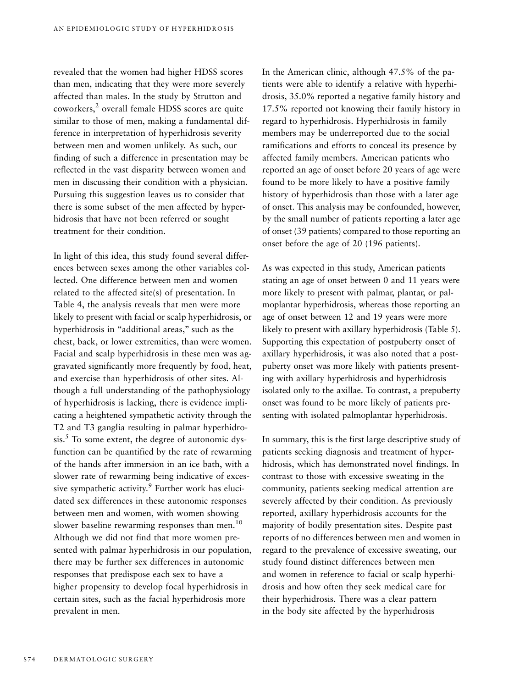revealed that the women had higher HDSS scores than men, indicating that they were more severely affected than males. In the study by Strutton and coworkers,<sup>2</sup> overall female HDSS scores are quite similar to those of men, making a fundamental difference in interpretation of hyperhidrosis severity between men and women unlikely. As such, our finding of such a difference in presentation may be reflected in the vast disparity between women and men in discussing their condition with a physician. Pursuing this suggestion leaves us to consider that there is some subset of the men affected by hyperhidrosis that have not been referred or sought treatment for their condition.

In light of this idea, this study found several differences between sexes among the other variables collected. One difference between men and women related to the affected site(s) of presentation. In Table 4, the analysis reveals that men were more likely to present with facial or scalp hyperhidrosis, or hyperhidrosis in "additional areas," such as the chest, back, or lower extremities, than were women. Facial and scalp hyperhidrosis in these men was aggravated significantly more frequently by food, heat, and exercise than hyperhidrosis of other sites. Although a full understanding of the pathophysiology of hyperhidrosis is lacking, there is evidence implicating a heightened sympathetic activity through the T2 and T3 ganglia resulting in palmar hyperhidro- $\sin^5$  To some extent, the degree of autonomic dysfunction can be quantified by the rate of rewarming of the hands after immersion in an ice bath, with a slower rate of rewarming being indicative of excessive sympathetic activity.<sup>9</sup> Further work has elucidated sex differences in these autonomic responses between men and women, with women showing slower baseline rewarming responses than men.<sup>10</sup> Although we did not find that more women presented with palmar hyperhidrosis in our population, there may be further sex differences in autonomic responses that predispose each sex to have a higher propensity to develop focal hyperhidrosis in certain sites, such as the facial hyperhidrosis more prevalent in men.

In the American clinic, although 47.5% of the patients were able to identify a relative with hyperhidrosis, 35.0% reported a negative family history and 17.5% reported not knowing their family history in regard to hyperhidrosis. Hyperhidrosis in family members may be underreported due to the social ramifications and efforts to conceal its presence by affected family members. American patients who reported an age of onset before 20 years of age were found to be more likely to have a positive family history of hyperhidrosis than those with a later age of onset. This analysis may be confounded, however, by the small number of patients reporting a later age of onset (39 patients) compared to those reporting an onset before the age of 20 (196 patients).

As was expected in this study, American patients stating an age of onset between 0 and 11 years were more likely to present with palmar, plantar, or palmoplantar hyperhidrosis, whereas those reporting an age of onset between 12 and 19 years were more likely to present with axillary hyperhidrosis (Table 5). Supporting this expectation of postpuberty onset of axillary hyperhidrosis, it was also noted that a postpuberty onset was more likely with patients presenting with axillary hyperhidrosis and hyperhidrosis isolated only to the axillae. To contrast, a prepuberty onset was found to be more likely of patients presenting with isolated palmoplantar hyperhidrosis.

In summary, this is the first large descriptive study of patients seeking diagnosis and treatment of hyperhidrosis, which has demonstrated novel findings. In contrast to those with excessive sweating in the community, patients seeking medical attention are severely affected by their condition. As previously reported, axillary hyperhidrosis accounts for the majority of bodily presentation sites. Despite past reports of no differences between men and women in regard to the prevalence of excessive sweating, our study found distinct differences between men and women in reference to facial or scalp hyperhidrosis and how often they seek medical care for their hyperhidrosis. There was a clear pattern in the body site affected by the hyperhidrosis